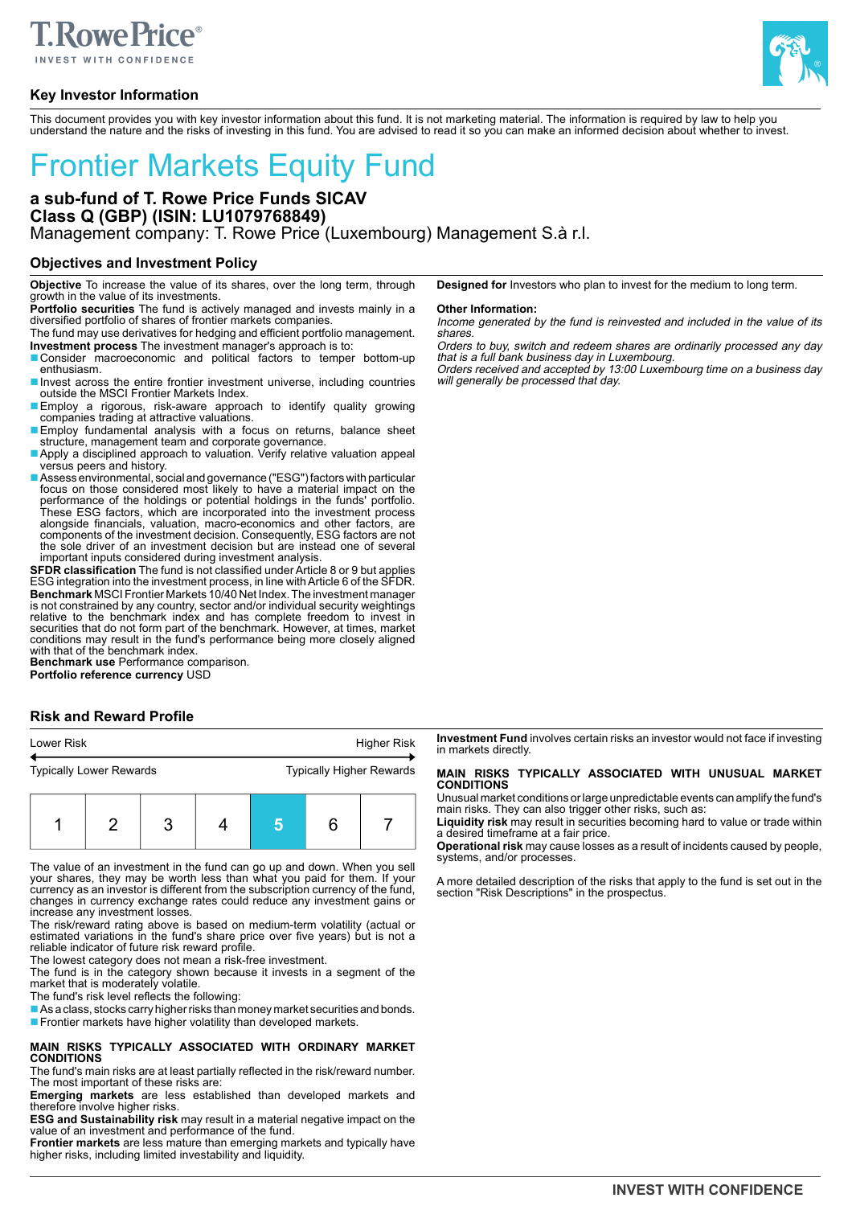# **TRowe Price®**

**Key Investor Information**



This document provides you with key investor information about this fund. It is not marketing material. The information is required by law to help you understand the nature and the risks of investing in this fund. You are advised to read it so you can make an informed decision about whether to invest.

# Frontier Markets Equity Fund

# **a sub-fund of T. Rowe Price Funds SICAV Class Q (GBP) (ISIN: LU1079768849)** Management company: T. Rowe Price (Luxembourg) Management S.à r.l.

### **Objectives and Investment Policy**

**Objective** To increase the value of its shares, over the long term, through growth in the value of its investments.

**Portfolio securities** The fund is actively managed and invests mainly in a diversified portfolio of shares of frontier markets companies.

The fund may use derivatives for hedging and efficient portfolio management. **Investment process** The investment manager's approach is to:

- Consider macroeconomic and political factors to temper bottom-up enthusiasm.
- Invest across the entire frontier investment universe, including countries outside the MSCI Frontier Markets Index.
- Employ a rigorous, risk-aware approach to identify quality growing companies trading at attractive valuations.
- Employ fundamental analysis with a focus on returns, balance sheet structure, management team and corporate governance.
- Apply a disciplined approach to valuation. Verify relative valuation appeal versus peers and history.
- Assess environmental, social and governance ("ESG") factors with particular focus on those considered most likely to have a material impact on the performance of the holdings or potential holdings in the funds' portfolio.<br>These ESG factors, which are incorporated into the investment process<br>alongside financials, valuation, macro-economics and other factors, are<br>compo the sole driver of an investment decision but are instead one of several important inputs considered during investment analysis.

**SFDR classification** The fund is not classified under Article 8 or 9 but applies ESG integration into the investment process, in line with Article 6 of the SFDR. **Benchmark** MSCI Frontier Markets 10/40 Net Index. The investment manager is not constrained by any country, sector and/or individual security weightings<br>relative to the benchmark index and has complete freedom to invest in<br>securities that do not form part of the benchmark. However, at times, ma with that of the benchmark index.

**Benchmark use** Performance comparison. **Portfolio reference currency** USD

# **Risk and Reward Profile**

| Lower Risk                     |  |  |  | <b>Higher Risk</b>              |  |  |  |
|--------------------------------|--|--|--|---------------------------------|--|--|--|
| <b>Typically Lower Rewards</b> |  |  |  | <b>Typically Higher Rewards</b> |  |  |  |
|                                |  |  |  |                                 |  |  |  |

The value of an investment in the fund can go up and down. When you sell your shares, they may be worth less than what you paid for them. If your currency as an investor is different from the subscription currency of the fund, changes in currency exchange rates could reduce any investment gains or

1 2 3 4 **5** 6 7

increase any investment losses. The risk/reward rating above is based on medium-term volatility (actual or estimated variations in the fund's share price over five years) but is not a reliable indicator of future risk reward profile.

The lowest category does not mean a risk-free investment.

The fund is in the category shown because it invests in a segment of the market that is moderately volatile.

The fund's risk level reflects the following:

■ As a class, stocks carry higher risks than money market securities and bonds. ■ Frontier markets have higher volatility than developed markets.

#### **MAIN RISKS TYPICALLY ASSOCIATED WITH ORDINARY MARKET CONDITIONS**

The fund's main risks are at least partially reflected in the risk/reward number. The most important of these risks are:

**Emerging markets** are less established than developed markets and therefore involve higher risks.

**ESG and Sustainability risk** may result in a material negative impact on the value of an investment and performance of the fund.

**Frontier markets** are less mature than emerging markets and typically have higher risks, including limited investability and liquidity.

**Designed for** Investors who plan to invest for the medium to long term.

#### **Other Information:**

Income generated by the fund is reinvested and included in the value of its shares.

Orders to buy, switch and redeem shares are ordinarily processed any day that is a full bank business day in Luxembourg.

Orders received and accepted by 13:00 Luxembourg time on a business day will generally be processed that day.

**Investment Fund** involves certain risks an investor would not face if investing in markets directly.

#### **MAIN RISKS TYPICALLY ASSOCIATED WITH UNUSUAL MARKET CONDITIONS**

Unusual market conditions or large unpredictable events can amplify the fund's main risks. They can also trigger other risks, such as:

**Liquidity risk** may result in securities becoming hard to value or trade within a desired timeframe at a fair price.

**Operational risk** may cause losses as a result of incidents caused by people, systems, and/or processes.

A more detailed description of the risks that apply to the fund is set out in the section "Risk Descriptions" in the prospectus.